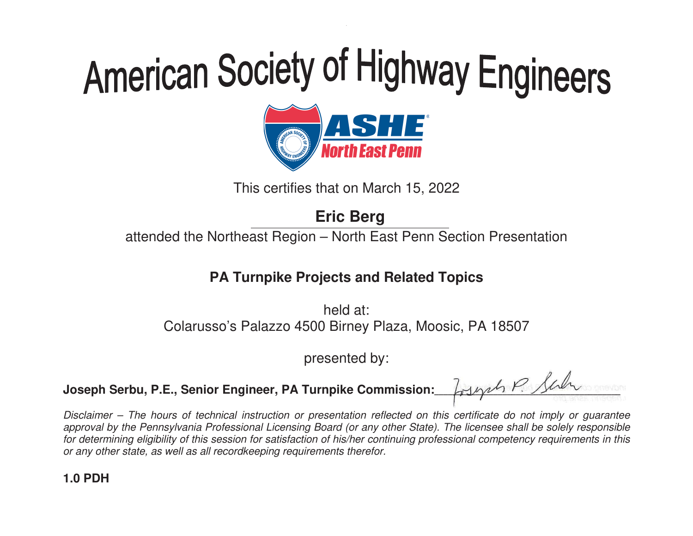

This certifies that on March 15, 2022

## **Eric Berg**

attended the Northeast Region – North East Penn Section Presentation

### **PA Turnpike Projects and Related Topics**

held at: Colarusso's Palazzo 4500 Birney Plaza, Moosic, PA 18507

presented by:

Joseph Serbu, P.E., Senior Engineer, PA Turnpike Commission:

Losynt P. Sur - $\overline{\phantom{a}}$ -----à, -

Disclaimer – The hours of technical instruction or presentation reflected on this certificate do not imply or guarantee approval by the Pennsylvania Professional Licensing Board (or any other State). The licensee shall be solely responsible for determining eligibility of this session for satisfaction of his/her continuing professional competency requirements in this or any other state, as well as all recordkeeping requirements therefor.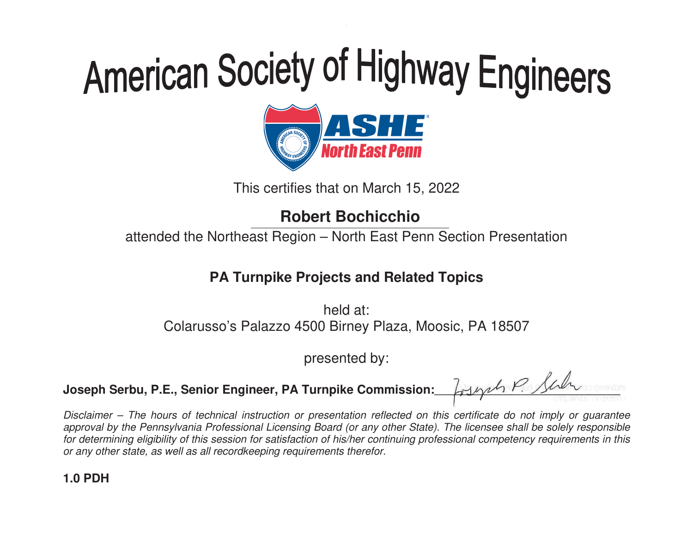

This certifies that on March 15, 2022

### **Robert Bochicchio**

attended the Northeast Region – North East Penn Section Presentation

### **PA Turnpike Projects and Related Topics**

held at: Colarusso's Palazzo 4500 Birney Plaza, Moosic, PA 18507

presented by:

Joseph Serbu, P.E., Senior Engineer, PA Turnpike Commission:

Losynt P. Sur - $\overline{\phantom{a}}$ -----à, -

Disclaimer – The hours of technical instruction or presentation reflected on this certificate do not imply or guarantee approval by the Pennsylvania Professional Licensing Board (or any other State). The licensee shall be solely responsible for determining eligibility of this session for satisfaction of his/her continuing professional competency requirements in this or any other state, as well as all recordkeeping requirements therefor.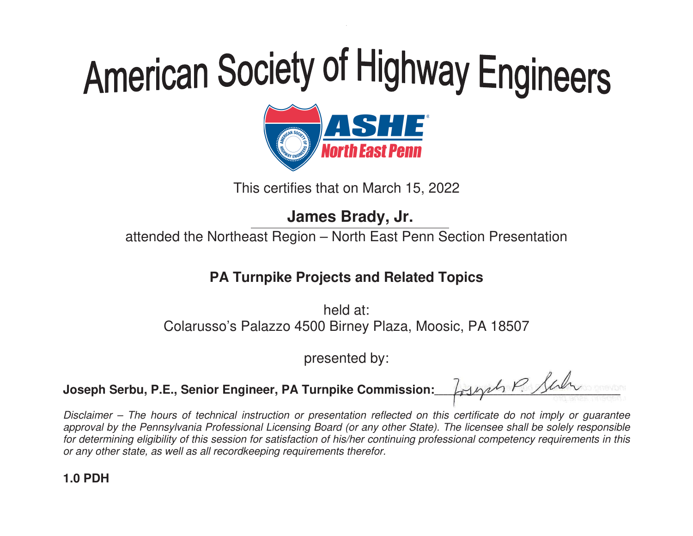

This certifies that on March 15, 2022

## **James Brady, Jr.**

attended the Northeast Region – North East Penn Section Presentation

### **PA Turnpike Projects and Related Topics**

held at: Colarusso's Palazzo 4500 Birney Plaza, Moosic, PA 18507

presented by:

Joseph Serbu, P.E., Senior Engineer, PA Turnpike Commission:

Losynt P. Sur - $\overline{\phantom{a}}$ -----à, -

Disclaimer – The hours of technical instruction or presentation reflected on this certificate do not imply or guarantee approval by the Pennsylvania Professional Licensing Board (or any other State). The licensee shall be solely responsible for determining eligibility of this session for satisfaction of his/her continuing professional competency requirements in this or any other state, as well as all recordkeeping requirements therefor.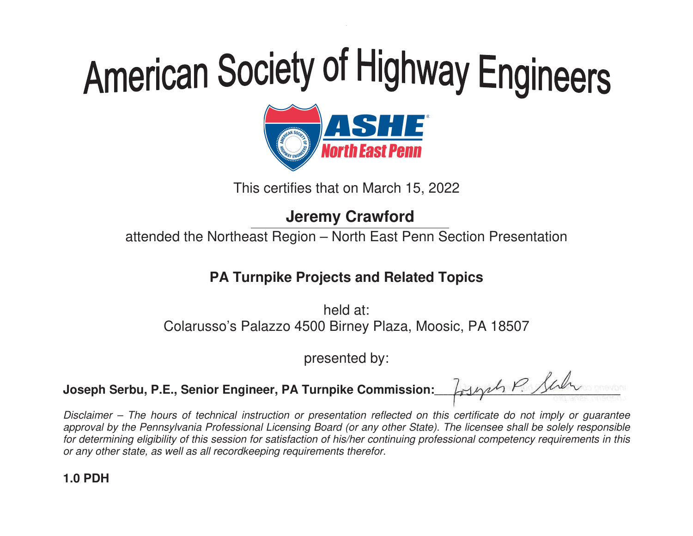

This certifies that on March 15, 2022

## **Jeremy Crawford**

attended the Northeast Region – North East Penn Section Presentation

### **PA Turnpike Projects and Related Topics**

held at: Colarusso's Palazzo 4500 Birney Plaza, Moosic, PA 18507

presented by:

Joseph Serbu, P.E., Senior Engineer, PA Turnpike Commission:

Losynt P. Sur - $\overline{\phantom{a}}$ -----à, -

Disclaimer – The hours of technical instruction or presentation reflected on this certificate do not imply or guarantee approval by the Pennsylvania Professional Licensing Board (or any other State). The licensee shall be solely responsible for determining eligibility of this session for satisfaction of his/her continuing professional competency requirements in this or any other state, as well as all recordkeeping requirements therefor.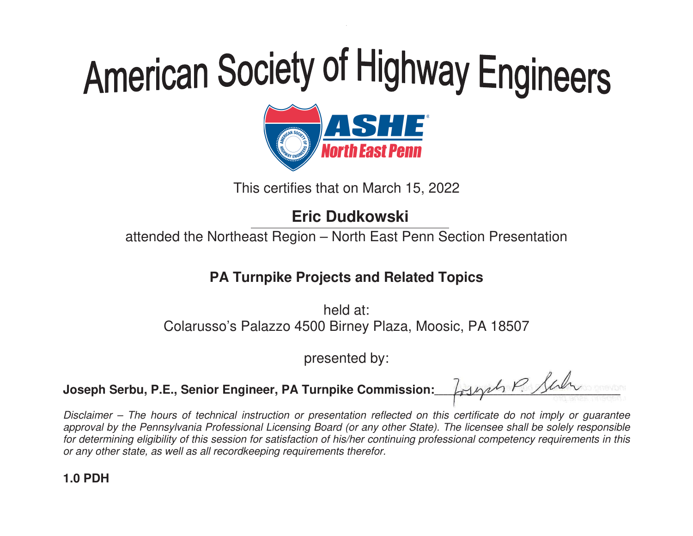

This certifies that on March 15, 2022

## **Eric Dudkowski**

attended the Northeast Region – North East Penn Section Presentation

### **PA Turnpike Projects and Related Topics**

held at: Colarusso's Palazzo 4500 Birney Plaza, Moosic, PA 18507

presented by:

Joseph Serbu, P.E., Senior Engineer, PA Turnpike Commission:

Losynt P. Sur - $\overline{\phantom{a}}$ -----à, -

Disclaimer – The hours of technical instruction or presentation reflected on this certificate do not imply or guarantee approval by the Pennsylvania Professional Licensing Board (or any other State). The licensee shall be solely responsible for determining eligibility of this session for satisfaction of his/her continuing professional competency requirements in this or any other state, as well as all recordkeeping requirements therefor.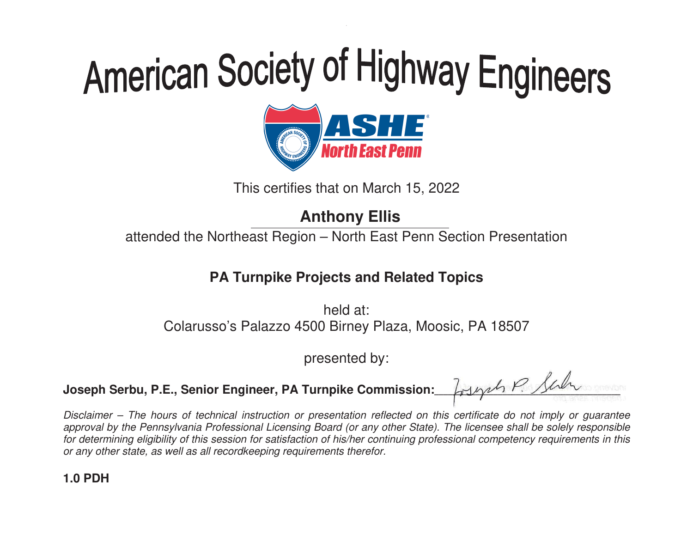

This certifies that on March 15, 2022

## **Anthony Ellis**

attended the Northeast Region – North East Penn Section Presentation

### **PA Turnpike Projects and Related Topics**

held at: Colarusso's Palazzo 4500 Birney Plaza, Moosic, PA 18507

presented by:

Joseph Serbu, P.E., Senior Engineer, PA Turnpike Commission:

Losynt P. Sur - $\overline{\phantom{a}}$ -----à, -

Disclaimer – The hours of technical instruction or presentation reflected on this certificate do not imply or guarantee approval by the Pennsylvania Professional Licensing Board (or any other State). The licensee shall be solely responsible for determining eligibility of this session for satisfaction of his/her continuing professional competency requirements in this or any other state, as well as all recordkeeping requirements therefor.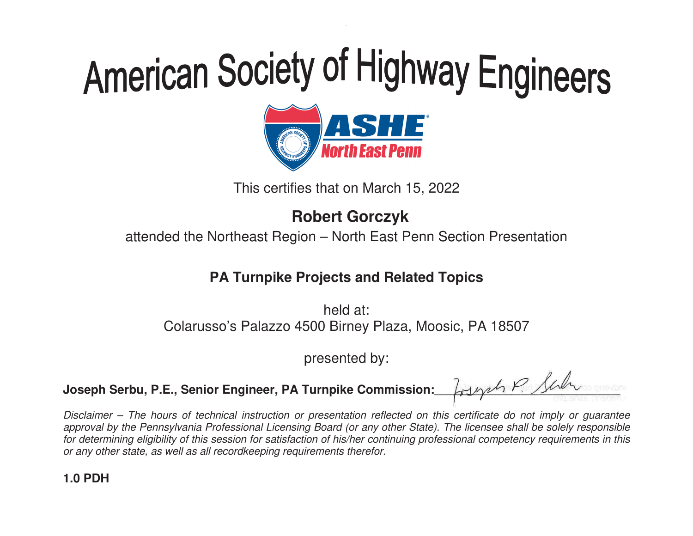

This certifies that on March 15, 2022

## **Robert Gorczyk**

attended the Northeast Region – North East Penn Section Presentation

### **PA Turnpike Projects and Related Topics**

held at: Colarusso's Palazzo 4500 Birney Plaza, Moosic, PA 18507

presented by:

Joseph Serbu, P.E., Senior Engineer, PA Turnpike Commission:

Losynt P. Sur - $\overline{\phantom{a}}$ -----à, -

Disclaimer – The hours of technical instruction or presentation reflected on this certificate do not imply or guarantee approval by the Pennsylvania Professional Licensing Board (or any other State). The licensee shall be solely responsible for determining eligibility of this session for satisfaction of his/her continuing professional competency requirements in this or any other state, as well as all recordkeeping requirements therefor.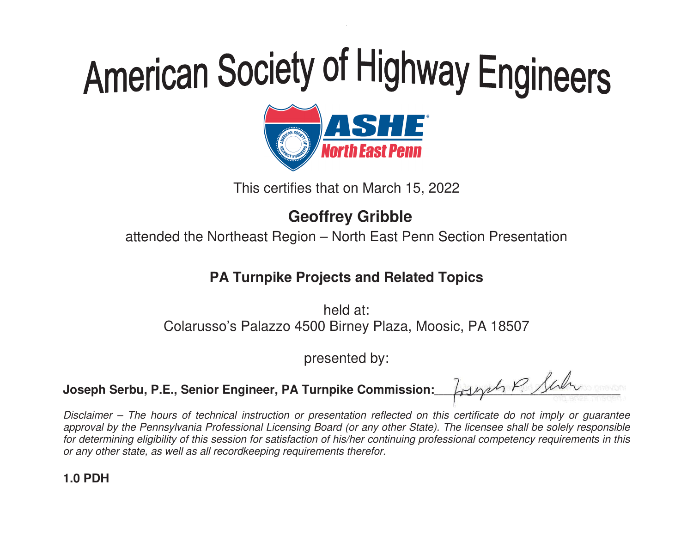

This certifies that on March 15, 2022

## **Geoffrey Gribble**

attended the Northeast Region – North East Penn Section Presentation

### **PA Turnpike Projects and Related Topics**

held at: Colarusso's Palazzo 4500 Birney Plaza, Moosic, PA 18507

presented by:

Joseph Serbu, P.E., Senior Engineer, PA Turnpike Commission:

Losynt P. Sur - $\overline{\phantom{a}}$ -----à, -

Disclaimer – The hours of technical instruction or presentation reflected on this certificate do not imply or guarantee approval by the Pennsylvania Professional Licensing Board (or any other State). The licensee shall be solely responsible for determining eligibility of this session for satisfaction of his/her continuing professional competency requirements in this or any other state, as well as all recordkeeping requirements therefor.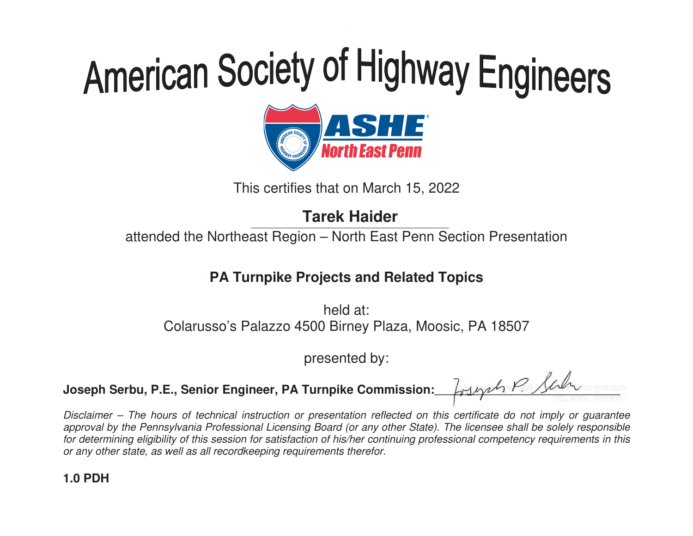

This certifies that on March 15, 2022

## **Tarek Haider**

attended the Northeast Region – North East Penn Section Presentation

### **PA Turnpike Projects and Related Topics**

held at: Colarusso's Palazzo 4500 Birney Plaza, Moosic, PA 18507

presented by:

Joseph Serbu, P.E., Senior Engineer, PA Turnpike Commission:

Losynt P. Sur - $\overline{\phantom{a}}$ -----à, -

Disclaimer – The hours of technical instruction or presentation reflected on this certificate do not imply or guarantee approval by the Pennsylvania Professional Licensing Board (or any other State). The licensee shall be solely responsible for determining eligibility of this session for satisfaction of his/her continuing professional competency requirements in this or any other state, as well as all recordkeeping requirements therefor.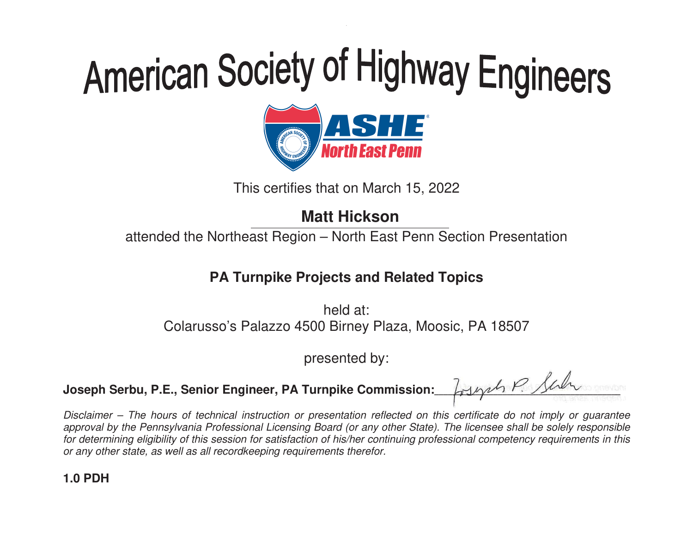

This certifies that on March 15, 2022

## **Matt Hickson**

attended the Northeast Region – North East Penn Section Presentation

#### **PA Turnpike Projects and Related Topics**

held at: Colarusso's Palazzo 4500 Birney Plaza, Moosic, PA 18507

presented by:

Joseph Serbu, P.E., Senior Engineer, PA Turnpike Commission:

Losynt P. Sur - $\overline{\phantom{a}}$ -----à, -

Disclaimer – The hours of technical instruction or presentation reflected on this certificate do not imply or guarantee approval by the Pennsylvania Professional Licensing Board (or any other State). The licensee shall be solely responsible for determining eligibility of this session for satisfaction of his/her continuing professional competency requirements in this or any other state, as well as all recordkeeping requirements therefor.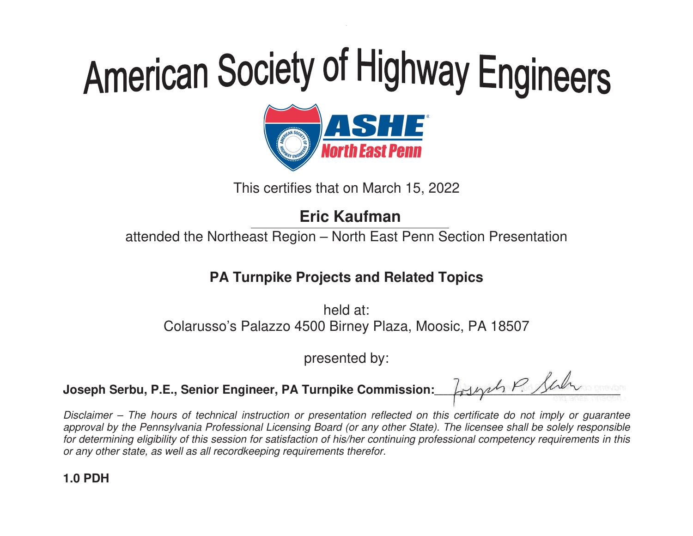

This certifies that on March 15, 2022

## **Eric Kaufman**

attended the Northeast Region – North East Penn Section Presentation

### **PA Turnpike Projects and Related Topics**

held at: Colarusso's Palazzo 4500 Birney Plaza, Moosic, PA 18507

presented by:

Joseph Serbu, P.E., Senior Engineer, PA Turnpike Commission:

Losynt P. Sur - $\overline{\phantom{a}}$ -----à, -

Disclaimer – The hours of technical instruction or presentation reflected on this certificate do not imply or guarantee approval by the Pennsylvania Professional Licensing Board (or any other State). The licensee shall be solely responsible for determining eligibility of this session for satisfaction of his/her continuing professional competency requirements in this or any other state, as well as all recordkeeping requirements therefor.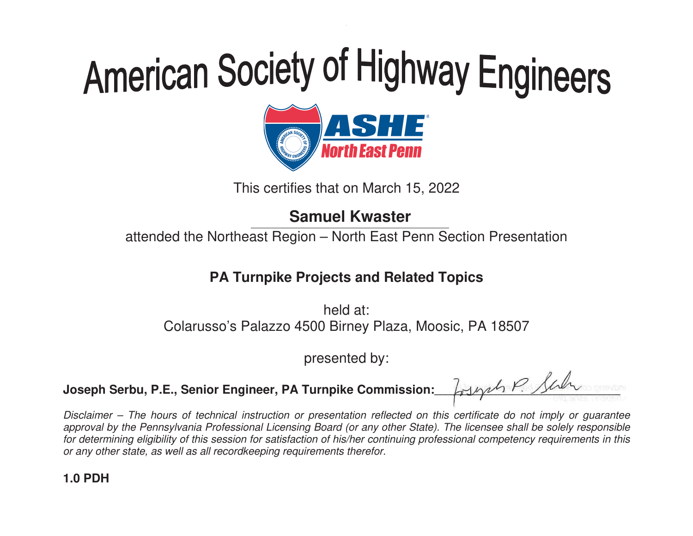

This certifies that on March 15, 2022

### **Samuel Kwaster**

attended the Northeast Region – North East Penn Section Presentation

### **PA Turnpike Projects and Related Topics**

held at: Colarusso's Palazzo 4500 Birney Plaza, Moosic, PA 18507

presented by:

Joseph Serbu, P.E., Senior Engineer, PA Turnpike Commission:

Losynt P. Sur - $\overline{\phantom{a}}$ -----à, -

Disclaimer – The hours of technical instruction or presentation reflected on this certificate do not imply or guarantee approval by the Pennsylvania Professional Licensing Board (or any other State). The licensee shall be solely responsible for determining eligibility of this session for satisfaction of his/her continuing professional competency requirements in this or any other state, as well as all recordkeeping requirements therefor.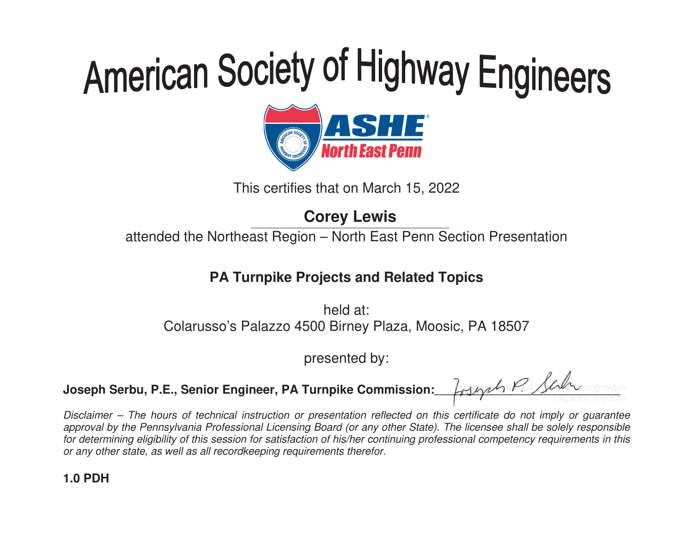

This certifies that on March 15, 2022

## **Corey Lewis**

attended the Northeast Region – North East Penn Section Presentation

#### **PA Turnpike Projects and Related Topics**

held at: Colarusso's Palazzo 4500 Birney Plaza, Moosic, PA 18507

presented by:

Joseph Serbu, P.E., Senior Engineer, PA Turnpike Commission:

Losynt P. Sur - $\overline{\phantom{a}}$ -----à, -

Disclaimer – The hours of technical instruction or presentation reflected on this certificate do not imply or guarantee approval by the Pennsylvania Professional Licensing Board (or any other State). The licensee shall be solely responsible for determining eligibility of this session for satisfaction of his/her continuing professional competency requirements in this or any other state, as well as all recordkeeping requirements therefor.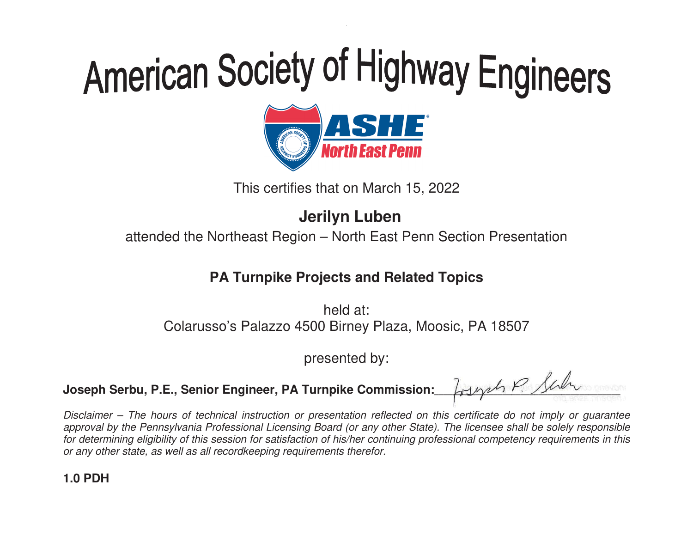

This certifies that on March 15, 2022

## **Jerilyn Luben**

attended the Northeast Region – North East Penn Section Presentation

### **PA Turnpike Projects and Related Topics**

held at: Colarusso's Palazzo 4500 Birney Plaza, Moosic, PA 18507

presented by:

Joseph Serbu, P.E., Senior Engineer, PA Turnpike Commission:

Losynt P. Sur - $\overline{\phantom{a}}$ -----à, -

Disclaimer – The hours of technical instruction or presentation reflected on this certificate do not imply or guarantee approval by the Pennsylvania Professional Licensing Board (or any other State). The licensee shall be solely responsible for determining eligibility of this session for satisfaction of his/her continuing professional competency requirements in this or any other state, as well as all recordkeeping requirements therefor.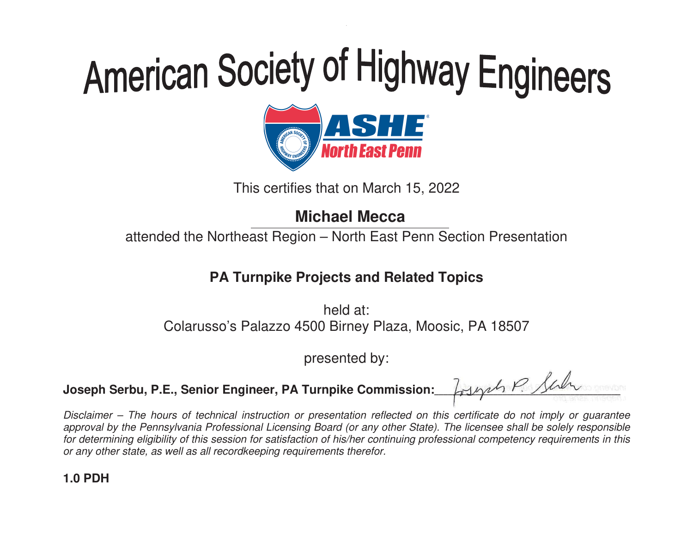

This certifies that on March 15, 2022

### **Michael Mecca**

attended the Northeast Region – North East Penn Section Presentation

### **PA Turnpike Projects and Related Topics**

held at: Colarusso's Palazzo 4500 Birney Plaza, Moosic, PA 18507

presented by:

Joseph Serbu, P.E., Senior Engineer, PA Turnpike Commission:

Losynt P. Sur - $\overline{\phantom{a}}$ -----à, -

Disclaimer – The hours of technical instruction or presentation reflected on this certificate do not imply or guarantee approval by the Pennsylvania Professional Licensing Board (or any other State). The licensee shall be solely responsible for determining eligibility of this session for satisfaction of his/her continuing professional competency requirements in this or any other state, as well as all recordkeeping requirements therefor.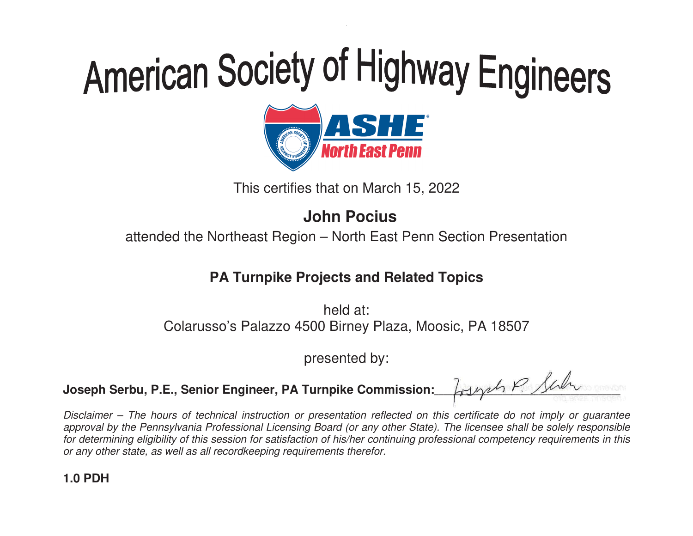

This certifies that on March 15, 2022

## **John Pocius**

attended the Northeast Region – North East Penn Section Presentation

#### **PA Turnpike Projects and Related Topics**

held at: Colarusso's Palazzo 4500 Birney Plaza, Moosic, PA 18507

presented by:

Joseph Serbu, P.E., Senior Engineer, PA Turnpike Commission:

Losynt P. Sur - $\overline{\phantom{a}}$ -----à, -

Disclaimer – The hours of technical instruction or presentation reflected on this certificate do not imply or guarantee approval by the Pennsylvania Professional Licensing Board (or any other State). The licensee shall be solely responsible for determining eligibility of this session for satisfaction of his/her continuing professional competency requirements in this or any other state, as well as all recordkeeping requirements therefor.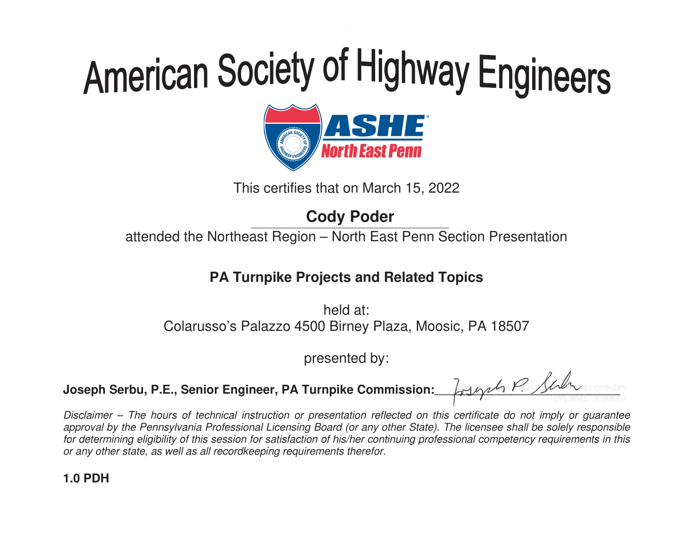

This certifies that on March 15, 2022

## **Cody Poder**

attended the Northeast Region – North East Penn Section Presentation

#### **PA Turnpike Projects and Related Topics**

held at: Colarusso's Palazzo 4500 Birney Plaza, Moosic, PA 18507

presented by:

Joseph Serbu, P.E., Senior Engineer, PA Turnpike Commission:

Losynt P. Sur - $\overline{\phantom{a}}$ -----à, -

Disclaimer – The hours of technical instruction or presentation reflected on this certificate do not imply or guarantee approval by the Pennsylvania Professional Licensing Board (or any other State). The licensee shall be solely responsible for determining eligibility of this session for satisfaction of his/her continuing professional competency requirements in this or any other state, as well as all recordkeeping requirements therefor.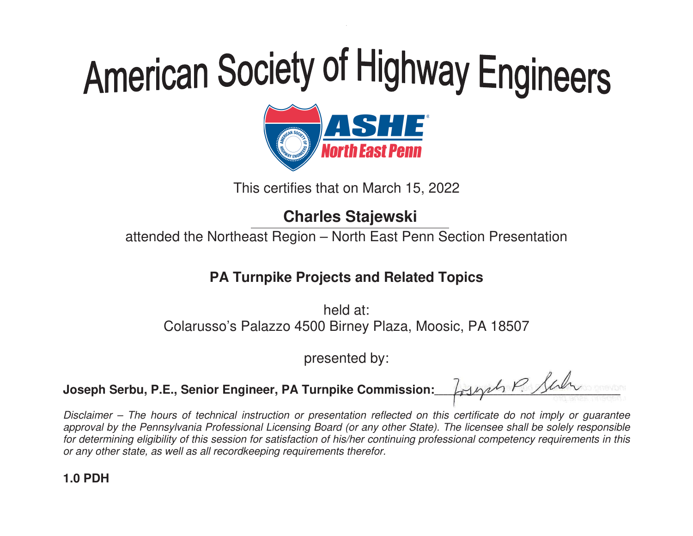

This certifies that on March 15, 2022

### **Charles Stajewski**

attended the Northeast Region – North East Penn Section Presentation

#### **PA Turnpike Projects and Related Topics**

held at: Colarusso's Palazzo 4500 Birney Plaza, Moosic, PA 18507

presented by:

Joseph Serbu, P.E., Senior Engineer, PA Turnpike Commission:

Losynt P. Sur - $\overline{\phantom{a}}$ -----à, -

Disclaimer – The hours of technical instruction or presentation reflected on this certificate do not imply or guarantee approval by the Pennsylvania Professional Licensing Board (or any other State). The licensee shall be solely responsible for determining eligibility of this session for satisfaction of his/her continuing professional competency requirements in this or any other state, as well as all recordkeeping requirements therefor.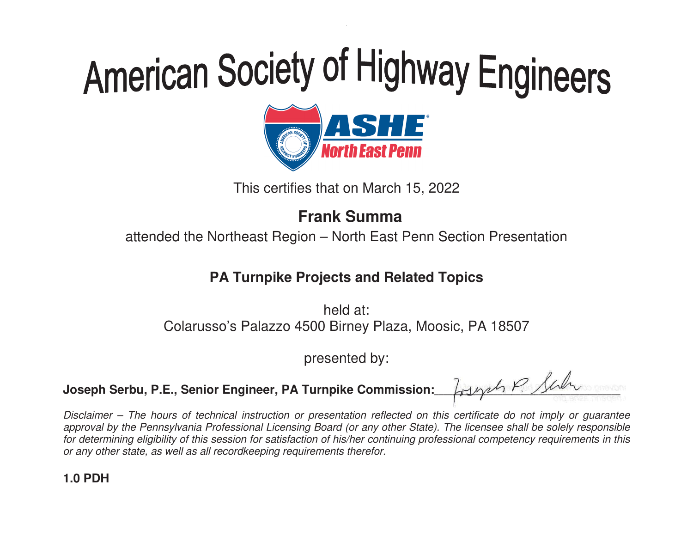

This certifies that on March 15, 2022

## **Frank Summa**

attended the Northeast Region – North East Penn Section Presentation

### **PA Turnpike Projects and Related Topics**

held at: Colarusso's Palazzo 4500 Birney Plaza, Moosic, PA 18507

presented by:

Joseph Serbu, P.E., Senior Engineer, PA Turnpike Commission:

Losynt P. Sur - $\overline{\phantom{a}}$ -----à, -

Disclaimer – The hours of technical instruction or presentation reflected on this certificate do not imply or guarantee approval by the Pennsylvania Professional Licensing Board (or any other State). The licensee shall be solely responsible for determining eligibility of this session for satisfaction of his/her continuing professional competency requirements in this or any other state, as well as all recordkeeping requirements therefor.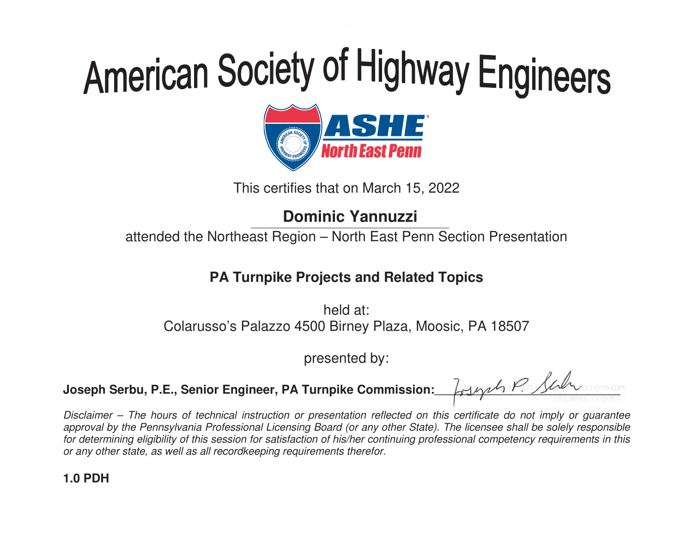

This certifies that on March 15, 2022

### **Dominic Yannuzzi**

attended the Northeast Region – North East Penn Section Presentation

### **PA Turnpike Projects and Related Topics**

held at: Colarusso's Palazzo 4500 Birney Plaza, Moosic, PA 18507

presented by:

Joseph Serbu, P.E., Senior Engineer, PA Turnpike Commission:

Losynt P. Sur - $\overline{\phantom{a}}$ -----à, -

Disclaimer – The hours of technical instruction or presentation reflected on this certificate do not imply or guarantee approval by the Pennsylvania Professional Licensing Board (or any other State). The licensee shall be solely responsible for determining eligibility of this session for satisfaction of his/her continuing professional competency requirements in this or any other state, as well as all recordkeeping requirements therefor.